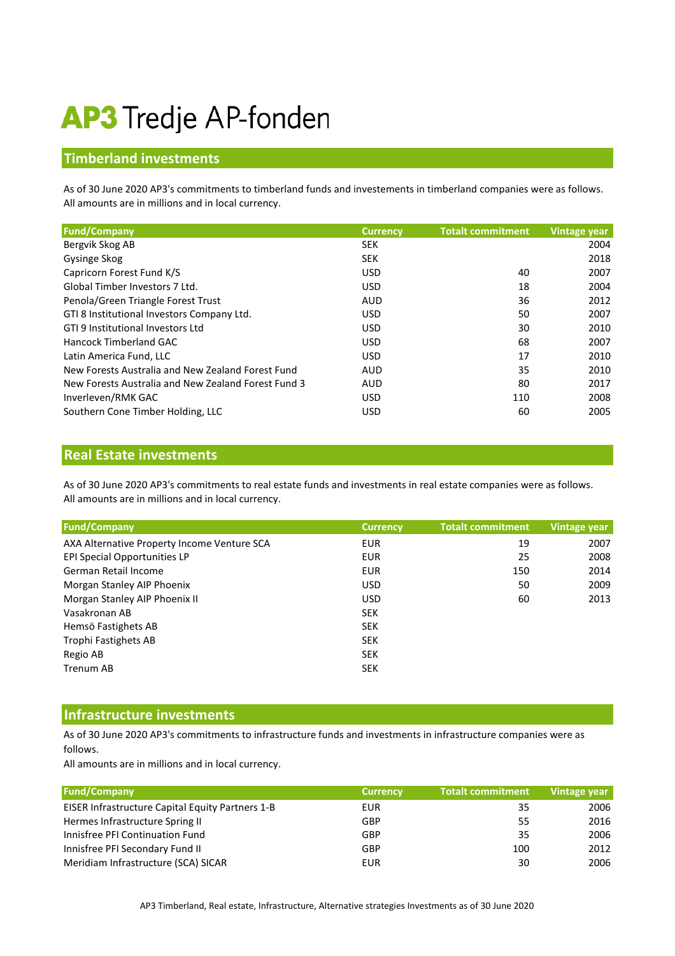# **AP3** Tredje AP-fonden

### **Timberland investments**

All amounts are in millions and in local currency. As of 30 June 2020 AP3's commitments to timberland funds and investements in timberland companies were as follows.

| <b>Fund/Company</b>                                 | <b>Currency</b> | <b>Totalt commitment</b> | Vintage year |
|-----------------------------------------------------|-----------------|--------------------------|--------------|
| Bergvik Skog AB                                     | <b>SEK</b>      |                          | 2004         |
| Gysinge Skog                                        | <b>SEK</b>      |                          | 2018         |
| Capricorn Forest Fund K/S                           | <b>USD</b>      | 40                       | 2007         |
| Global Timber Investors 7 Ltd.                      | <b>USD</b>      | 18                       | 2004         |
| Penola/Green Triangle Forest Trust                  | <b>AUD</b>      | 36                       | 2012         |
| GTI 8 Institutional Investors Company Ltd.          | <b>USD</b>      | 50                       | 2007         |
| GTI 9 Institutional Investors Ltd                   | <b>USD</b>      | 30                       | 2010         |
| Hancock Timberland GAC                              | <b>USD</b>      | 68                       | 2007         |
| Latin America Fund, LLC                             | <b>USD</b>      | 17                       | 2010         |
| New Forests Australia and New Zealand Forest Fund   | <b>AUD</b>      | 35                       | 2010         |
| New Forests Australia and New Zealand Forest Fund 3 | <b>AUD</b>      | 80                       | 2017         |
| Inverleven/RMK GAC                                  | <b>USD</b>      | 110                      | 2008         |
| Southern Cone Timber Holding, LLC                   | <b>USD</b>      | 60                       | 2005         |

#### **Real Estate investments**

All amounts are in millions and in local currency. As of 30 June 2020 AP3's commitments to real estate funds and investments in real estate companies were as follows.

| <b>Fund/Company</b>                         | <b>Currency</b> | <b>Totalt commitment</b> | Vintage year |
|---------------------------------------------|-----------------|--------------------------|--------------|
| AXA Alternative Property Income Venture SCA | <b>EUR</b>      | 19                       | 2007         |
| EPI Special Opportunities LP                | <b>EUR</b>      | 25                       | 2008         |
| German Retail Income                        | <b>EUR</b>      | 150                      | 2014         |
| Morgan Stanley AIP Phoenix                  | <b>USD</b>      | 50                       | 2009         |
| Morgan Stanley AIP Phoenix II               | <b>USD</b>      | 60                       | 2013         |
| Vasakronan AB                               | <b>SEK</b>      |                          |              |
| Hemsö Fastighets AB                         | <b>SEK</b>      |                          |              |
| Trophi Fastighets AB                        | <b>SEK</b>      |                          |              |
| Regio AB                                    | <b>SEK</b>      |                          |              |
| Trenum AB                                   | <b>SEK</b>      |                          |              |

#### **Infrastructure investments**

As of 30 June 2020 AP3's commitments to infrastructure funds and investments in infrastructure companies were as follows.

All amounts are in millions and in local currency.

| <b>Fund/Company</b>                              | <b>Currency</b> | <b>Totalt commitment</b> | Vintage year |
|--------------------------------------------------|-----------------|--------------------------|--------------|
| EISER Infrastructure Capital Equity Partners 1-B | EUR             | 35                       | 2006         |
| Hermes Infrastructure Spring II                  | GBP             | 55                       | 2016         |
| Innisfree PFI Continuation Fund                  | GBP             | 35                       | 2006         |
| Innisfree PFI Secondary Fund II                  | GBP             | 100                      | 2012         |
| Meridiam Infrastructure (SCA) SICAR              | EUR             | 30                       | 2006         |